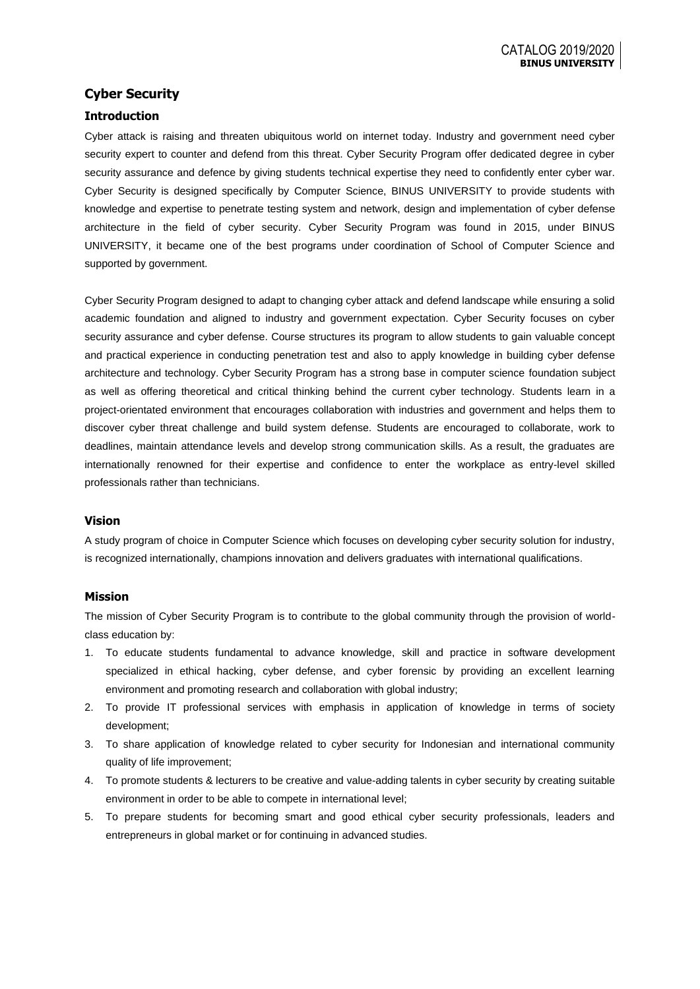## **Cyber Security**

### **Introduction**

Cyber attack is raising and threaten ubiquitous world on internet today. Industry and government need cyber security expert to counter and defend from this threat. Cyber Security Program offer dedicated degree in cyber security assurance and defence by giving students technical expertise they need to confidently enter cyber war. Cyber Security is designed specifically by Computer Science, BINUS UNIVERSITY to provide students with knowledge and expertise to penetrate testing system and network, design and implementation of cyber defense architecture in the field of cyber security. Cyber Security Program was found in 2015, under BINUS UNIVERSITY, it became one of the best programs under coordination of School of Computer Science and supported by government.

Cyber Security Program designed to adapt to changing cyber attack and defend landscape while ensuring a solid academic foundation and aligned to industry and government expectation. Cyber Security focuses on cyber security assurance and cyber defense. Course structures its program to allow students to gain valuable concept and practical experience in conducting penetration test and also to apply knowledge in building cyber defense architecture and technology. Cyber Security Program has a strong base in computer science foundation subject as well as offering theoretical and critical thinking behind the current cyber technology. Students learn in a project-orientated environment that encourages collaboration with industries and government and helps them to discover cyber threat challenge and build system defense. Students are encouraged to collaborate, work to deadlines, maintain attendance levels and develop strong communication skills. As a result, the graduates are internationally renowned for their expertise and confidence to enter the workplace as entry-level skilled professionals rather than technicians.

#### **Vision**

A study program of choice in Computer Science which focuses on developing cyber security solution for industry, is recognized internationally, champions innovation and delivers graduates with international qualifications.

#### **Mission**

The mission of Cyber Security Program is to contribute to the global community through the provision of worldclass education by:

- 1. To educate students fundamental to advance knowledge, skill and practice in software development specialized in ethical hacking, cyber defense, and cyber forensic by providing an excellent learning environment and promoting research and collaboration with global industry;
- 2. To provide IT professional services with emphasis in application of knowledge in terms of society development;
- 3. To share application of knowledge related to cyber security for Indonesian and international community quality of life improvement;
- 4. To promote students & lecturers to be creative and value-adding talents in cyber security by creating suitable environment in order to be able to compete in international level;
- 5. To prepare students for becoming smart and good ethical cyber security professionals, leaders and entrepreneurs in global market or for continuing in advanced studies.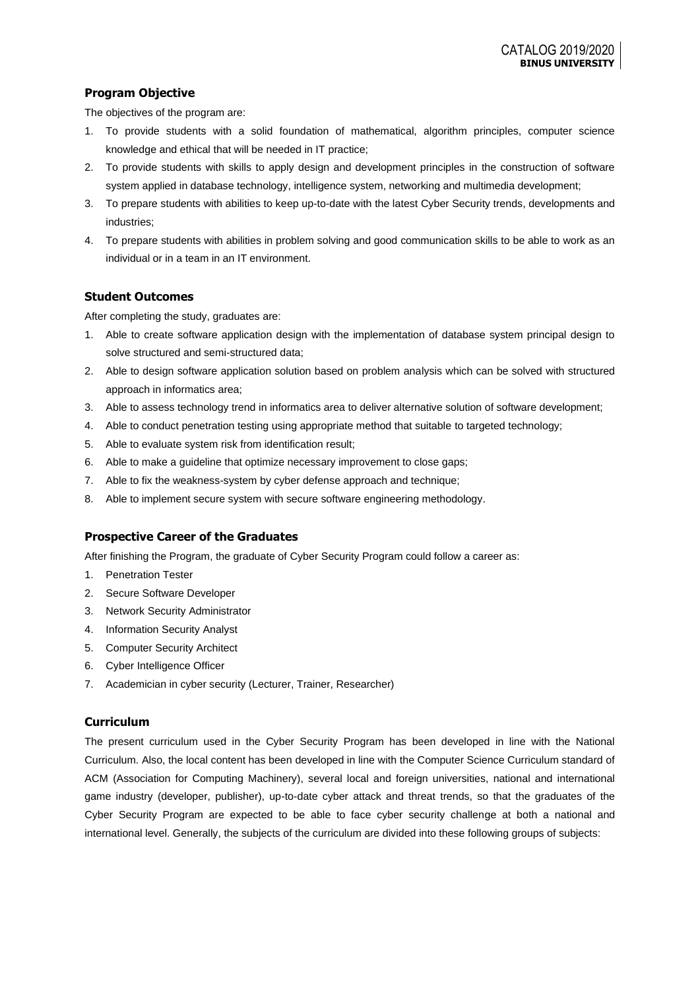## **Program Objective**

The objectives of the program are:

- 1. To provide students with a solid foundation of mathematical, algorithm principles, computer science knowledge and ethical that will be needed in IT practice;
- 2. To provide students with skills to apply design and development principles in the construction of software system applied in database technology, intelligence system, networking and multimedia development;
- 3. To prepare students with abilities to keep up-to-date with the latest Cyber Security trends, developments and industries;
- 4. To prepare students with abilities in problem solving and good communication skills to be able to work as an individual or in a team in an IT environment.

### **Student Outcomes**

After completing the study, graduates are:

- 1. Able to create software application design with the implementation of database system principal design to solve structured and semi-structured data;
- 2. Able to design software application solution based on problem analysis which can be solved with structured approach in informatics area;
- 3. Able to assess technology trend in informatics area to deliver alternative solution of software development;
- 4. Able to conduct penetration testing using appropriate method that suitable to targeted technology;
- 5. Able to evaluate system risk from identification result;
- 6. Able to make a guideline that optimize necessary improvement to close gaps;
- 7. Able to fix the weakness-system by cyber defense approach and technique;
- 8. Able to implement secure system with secure software engineering methodology.

#### **Prospective Career of the Graduates**

After finishing the Program, the graduate of Cyber Security Program could follow a career as:

- 1. Penetration Tester
- 2. Secure Software Developer
- 3. Network Security Administrator
- 4. Information Security Analyst
- 5. Computer Security Architect
- 6. Cyber Intelligence Officer
- 7. Academician in cyber security (Lecturer, Trainer, Researcher)

#### **Curriculum**

The present curriculum used in the Cyber Security Program has been developed in line with the National Curriculum. Also, the local content has been developed in line with the Computer Science Curriculum standard of ACM (Association for Computing Machinery), several local and foreign universities, national and international game industry (developer, publisher), up-to-date cyber attack and threat trends, so that the graduates of the Cyber Security Program are expected to be able to face cyber security challenge at both a national and international level. Generally, the subjects of the curriculum are divided into these following groups of subjects: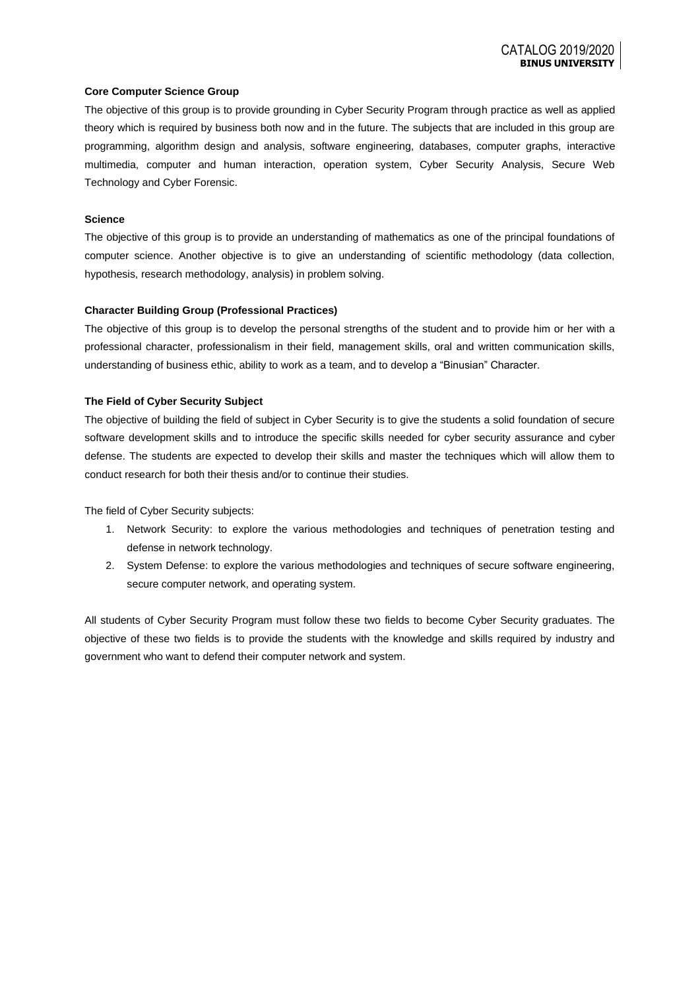#### **Core Computer Science Group**

The objective of this group is to provide grounding in Cyber Security Program through practice as well as applied theory which is required by business both now and in the future. The subjects that are included in this group are programming, algorithm design and analysis, software engineering, databases, computer graphs, interactive multimedia, computer and human interaction, operation system, Cyber Security Analysis, Secure Web Technology and Cyber Forensic.

#### **Science**

The objective of this group is to provide an understanding of mathematics as one of the principal foundations of computer science. Another objective is to give an understanding of scientific methodology (data collection, hypothesis, research methodology, analysis) in problem solving.

#### **Character Building Group (Professional Practices)**

The objective of this group is to develop the personal strengths of the student and to provide him or her with a professional character, professionalism in their field, management skills, oral and written communication skills, understanding of business ethic, ability to work as a team, and to develop a "Binusian" Character.

#### **The Field of Cyber Security Subject**

The objective of building the field of subject in Cyber Security is to give the students a solid foundation of secure software development skills and to introduce the specific skills needed for cyber security assurance and cyber defense. The students are expected to develop their skills and master the techniques which will allow them to conduct research for both their thesis and/or to continue their studies.

The field of Cyber Security subjects:

- 1. Network Security: to explore the various methodologies and techniques of penetration testing and defense in network technology.
- 2. System Defense: to explore the various methodologies and techniques of secure software engineering, secure computer network, and operating system.

All students of Cyber Security Program must follow these two fields to become Cyber Security graduates. The objective of these two fields is to provide the students with the knowledge and skills required by industry and government who want to defend their computer network and system.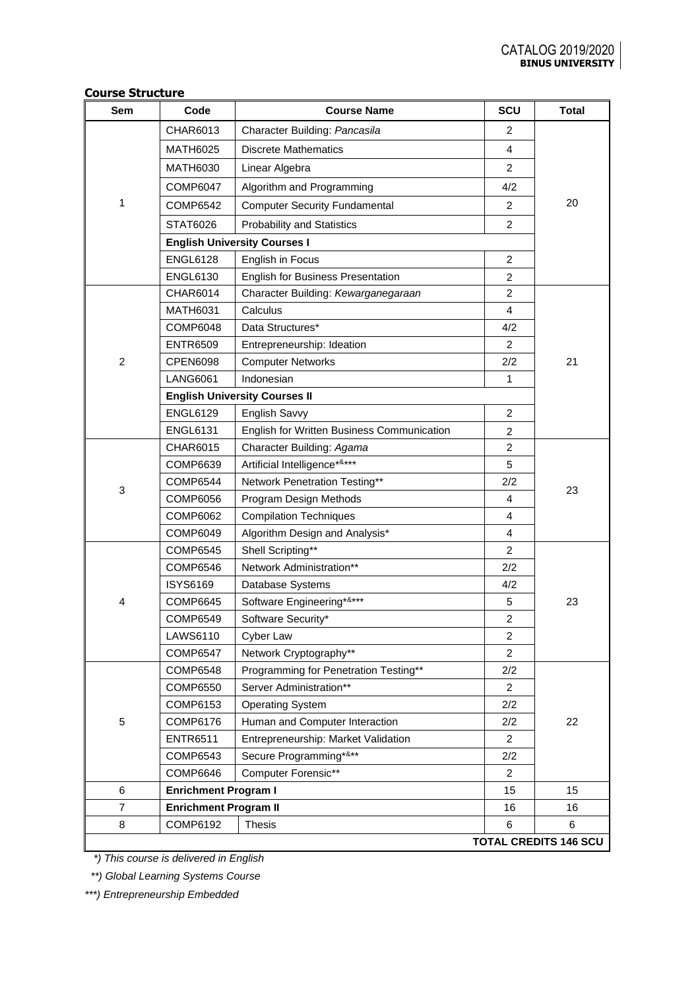| Sem            | Code                         | <b>Course Name</b>                         | <b>SCU</b>     | Total                        |
|----------------|------------------------------|--------------------------------------------|----------------|------------------------------|
|                | CHAR6013                     | Character Building: Pancasila              | 2              |                              |
|                | <b>MATH6025</b>              | <b>Discrete Mathematics</b>                | 4              |                              |
|                | <b>MATH6030</b>              | Linear Algebra                             | $\overline{2}$ |                              |
|                | <b>COMP6047</b>              | Algorithm and Programming                  | 4/2            |                              |
| 1              | COMP6542                     | <b>Computer Security Fundamental</b>       | 2              | 20                           |
|                | STAT6026                     | <b>Probability and Statistics</b>          | $\overline{2}$ |                              |
|                |                              | <b>English University Courses I</b>        |                |                              |
|                | <b>ENGL6128</b>              | English in Focus                           | 2              |                              |
|                | <b>ENGL6130</b>              | English for Business Presentation          | $\overline{2}$ |                              |
|                | <b>CHAR6014</b>              | Character Building: Kewarganegaraan        | 2              |                              |
|                | <b>MATH6031</b>              | Calculus                                   | 4              |                              |
|                | <b>COMP6048</b>              | Data Structures*                           | 4/2            |                              |
|                | <b>ENTR6509</b>              | Entrepreneurship: Ideation                 | $\overline{2}$ |                              |
| $\overline{c}$ | <b>CPEN6098</b>              | <b>Computer Networks</b>                   | 2/2            | 21                           |
|                | <b>LANG6061</b>              | Indonesian                                 | 1              |                              |
|                |                              | <b>English University Courses II</b>       |                |                              |
|                | <b>ENGL6129</b>              | English Savvy                              | 2              |                              |
|                | <b>ENGL6131</b>              | English for Written Business Communication | 2              |                              |
|                | CHAR6015                     | Character Building: Agama                  | $\overline{2}$ |                              |
|                | COMP6639                     | Artificial Intelligence*&***               | 5              |                              |
| 3              | <b>COMP6544</b>              | Network Penetration Testing**              | 2/2            | 23                           |
|                | <b>COMP6056</b>              | Program Design Methods                     | 4              |                              |
|                | COMP6062                     | <b>Compilation Techniques</b>              | 4              |                              |
|                | COMP6049                     | Algorithm Design and Analysis*             | 4              |                              |
|                | <b>COMP6545</b>              | Shell Scripting**                          | $\overline{2}$ |                              |
|                | <b>COMP6546</b>              | Network Administration**                   | 2/2            |                              |
|                | <b>ISYS6169</b>              | Database Systems                           | 4/2            |                              |
| 4              | <b>COMP6645</b>              | Software Engineering*&***                  | 5              | 23                           |
|                | <b>COMP6549</b>              | Software Security*                         | $\overline{2}$ |                              |
|                | LAWS6110                     | Cyber Law                                  | 2              |                              |
|                | <b>COMP6547</b>              | Network Cryptography**                     | $\overline{2}$ |                              |
|                | <b>COMP6548</b>              | Programming for Penetration Testing**      | 2/2            |                              |
| $\mathbf 5$    | <b>COMP6550</b>              | Server Administration**                    | $\overline{2}$ |                              |
|                | COMP6153                     | <b>Operating System</b>                    | 2/2            |                              |
|                | <b>COMP6176</b>              | Human and Computer Interaction             | 2/2            | 22                           |
|                | <b>ENTR6511</b>              | Entrepreneurship: Market Validation        | $\overline{2}$ |                              |
|                | <b>COMP6543</b>              | Secure Programming*&**                     | 2/2            |                              |
|                | <b>COMP6646</b>              | Computer Forensic**                        | $\overline{2}$ |                              |
| 6              | <b>Enrichment Program I</b>  |                                            | 15             | 15                           |
| $\overline{7}$ | <b>Enrichment Program II</b> |                                            | 16             | 16                           |
| 8              | COMP6192                     | <b>Thesis</b>                              | 6              | 6                            |
|                |                              |                                            |                | <b>TOTAL CREDITS 146 SCU</b> |

 *\*) This course is delivered in English*

*\*\*) Global Learning Systems Course*

*\*\*\*) Entrepreneurship Embedded*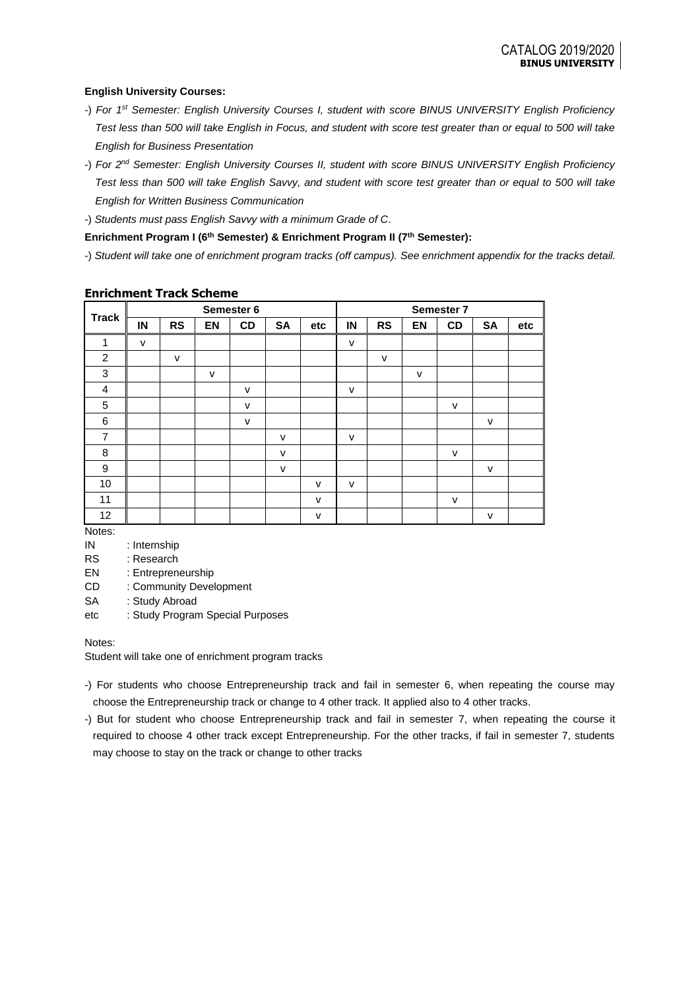### **English University Courses:**

- -) *For 1st Semester: English University Courses I, student with score BINUS UNIVERSITY English Proficiency Test less than 500 will take English in Focus, and student with score test greater than or equal to 500 will take English for Business Presentation*
- -) *For 2nd Semester: English University Courses II, student with score BINUS UNIVERSITY English Proficiency Test less than 500 will take English Savvy, and student with score test greater than or equal to 500 will take English for Written Business Communication*
- -) *Students must pass English Savvy with a minimum Grade of C*.

### **Enrichment Program I (6th Semester) & Enrichment Program II (7th Semester):**

-) *Student will take one of enrichment program tracks (off campus). See enrichment appendix for the tracks detail.*

| <b>Track</b>   | Semester 6   |           |              | Semester 7   |              |              |              |              |           |        |              |     |
|----------------|--------------|-----------|--------------|--------------|--------------|--------------|--------------|--------------|-----------|--------|--------------|-----|
|                | IN           | <b>RS</b> | EN           | CD           | <b>SA</b>    | etc          | IN           | <b>RS</b>    | <b>EN</b> | CD     | <b>SA</b>    | etc |
| 1              | $\mathsf{v}$ |           |              |              |              |              | $\mathsf{v}$ |              |           |        |              |     |
| $\overline{2}$ |              | v         |              |              |              |              |              | $\mathsf{v}$ |           |        |              |     |
| $\mathbf{3}$   |              |           | $\mathsf{V}$ |              |              |              |              |              | $\vee$    |        |              |     |
| $\overline{4}$ |              |           |              | $\mathsf{v}$ |              |              | $\mathsf{V}$ |              |           |        |              |     |
| 5              |              |           |              | $\mathsf{v}$ |              |              |              |              |           | v      |              |     |
| 6              |              |           |              | $\mathsf{v}$ |              |              |              |              |           |        | $\mathsf{v}$ |     |
| $\overline{7}$ |              |           |              |              | $\mathsf{V}$ |              | v            |              |           |        |              |     |
| 8              |              |           |              |              | $\mathsf{v}$ |              |              |              |           | $\vee$ |              |     |
| 9              |              |           |              |              | $\mathsf{v}$ |              |              |              |           |        | $\mathsf{v}$ |     |
| 10             |              |           |              |              |              | V            | $\vee$       |              |           |        |              |     |
| 11             |              |           |              |              |              | $\mathsf{v}$ |              |              |           | $\vee$ |              |     |
| 12             |              |           |              |              |              | $\mathsf{v}$ |              |              |           |        | $\mathsf{v}$ |     |

### **Enrichment Track Scheme**

Notes:

IN : Internship

RS : Research

EN : Entrepreneurship

CD : Community Development

SA : Study Abroad

etc : Study Program Special Purposes

#### Notes:

Student will take one of enrichment program tracks

- -) For students who choose Entrepreneurship track and fail in semester 6, when repeating the course may choose the Entrepreneurship track or change to 4 other track. It applied also to 4 other tracks.
- -) But for student who choose Entrepreneurship track and fail in semester 7, when repeating the course it required to choose 4 other track except Entrepreneurship. For the other tracks, if fail in semester 7, students may choose to stay on the track or change to other tracks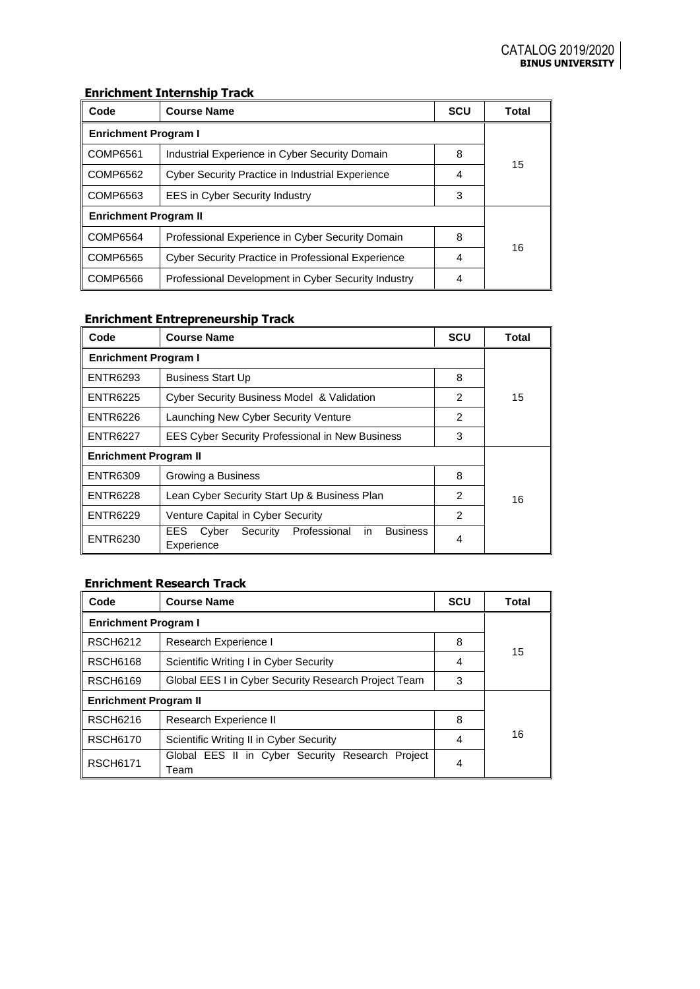# **Enrichment Internship Track**

| Code                         | <b>Course Name</b>                                        | <b>SCU</b> | Total |  |  |
|------------------------------|-----------------------------------------------------------|------------|-------|--|--|
| <b>Enrichment Program I</b>  |                                                           |            |       |  |  |
| COMP6561                     | Industrial Experience in Cyber Security Domain            | 8          | 15    |  |  |
| COMP6562                     | <b>Cyber Security Practice in Industrial Experience</b>   | 4          |       |  |  |
| COMP6563                     | <b>EES in Cyber Security Industry</b>                     | 3          |       |  |  |
| <b>Enrichment Program II</b> |                                                           |            |       |  |  |
| COMP6564                     | Professional Experience in Cyber Security Domain          | 8          | 16    |  |  |
| COMP6565                     | <b>Cyber Security Practice in Professional Experience</b> | 4          |       |  |  |
| COMP6566                     | Professional Development in Cyber Security Industry       | 4          |       |  |  |

# **Enrichment Entrepreneurship Track**

| Code                         | <b>Course Name</b>                                                                | <b>SCU</b>    | Total |  |  |  |
|------------------------------|-----------------------------------------------------------------------------------|---------------|-------|--|--|--|
| <b>Enrichment Program I</b>  |                                                                                   |               |       |  |  |  |
| <b>ENTR6293</b>              | <b>Business Start Up</b>                                                          | 8             |       |  |  |  |
| <b>ENTR6225</b>              | <b>Cyber Security Business Model &amp; Validation</b>                             | $\mathcal{P}$ | 15    |  |  |  |
| <b>ENTR6226</b>              | Launching New Cyber Security Venture                                              | 2             |       |  |  |  |
| <b>ENTR6227</b>              | <b>EES Cyber Security Professional in New Business</b>                            | 3             |       |  |  |  |
| <b>Enrichment Program II</b> |                                                                                   |               |       |  |  |  |
| <b>ENTR6309</b>              | Growing a Business                                                                | 8             |       |  |  |  |
| <b>ENTR6228</b>              | Lean Cyber Security Start Up & Business Plan                                      | 2             | 16    |  |  |  |
| <b>ENTR6229</b>              | Venture Capital in Cyber Security                                                 | 2             |       |  |  |  |
| <b>ENTR6230</b>              | Professional<br><b>Business</b><br>EES.<br>Security<br>Cyber<br>in.<br>Experience | 4             |       |  |  |  |

## **Enrichment Research Track**

| Code                         | <b>Course Name</b>                                       | <b>SCU</b> | Total |  |  |
|------------------------------|----------------------------------------------------------|------------|-------|--|--|
| <b>Enrichment Program I</b>  |                                                          |            |       |  |  |
| <b>RSCH6212</b>              | Research Experience I                                    |            | 15    |  |  |
| <b>RSCH6168</b>              | Scientific Writing I in Cyber Security                   | 4          |       |  |  |
| <b>RSCH6169</b>              | Global EES I in Cyber Security Research Project Team     |            |       |  |  |
| <b>Enrichment Program II</b> |                                                          |            |       |  |  |
| <b>RSCH6216</b>              | Research Experience II                                   | 8          |       |  |  |
| <b>RSCH6170</b>              | Scientific Writing II in Cyber Security                  |            | 16    |  |  |
| <b>RSCH6171</b>              | Global EES II in Cyber Security Research Project<br>Team | 4          |       |  |  |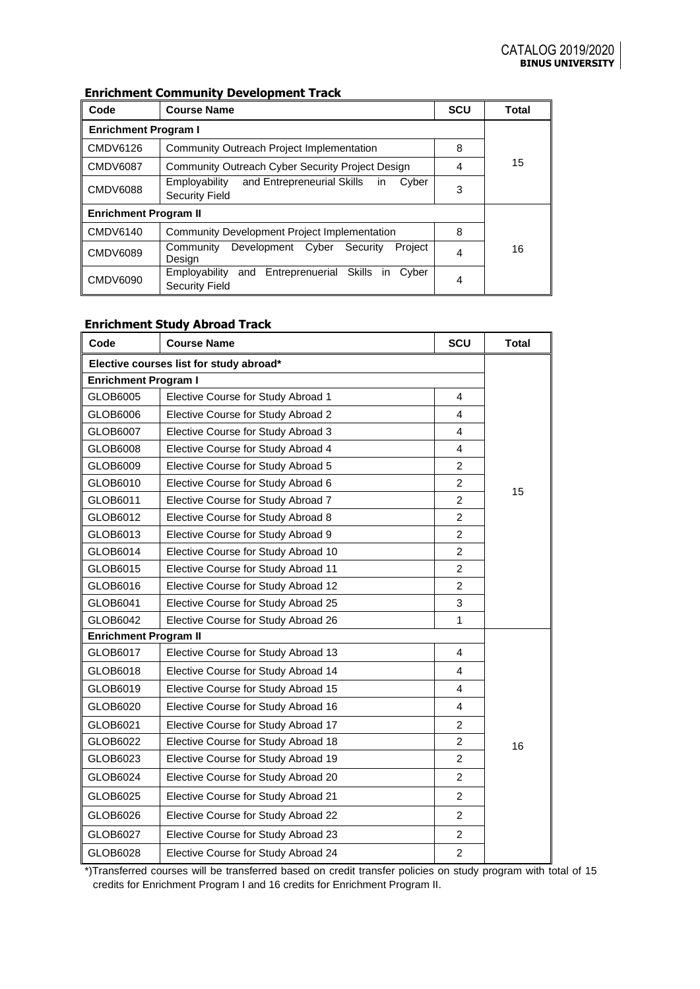# **Enrichment Community Development Track**

| Code                         | <b>Course Name</b>                                                                  | <b>SCU</b> | Total |  |  |
|------------------------------|-------------------------------------------------------------------------------------|------------|-------|--|--|
| <b>Enrichment Program I</b>  |                                                                                     |            |       |  |  |
| CMDV6126                     | Community Outreach Project Implementation                                           | 8          |       |  |  |
| CMDV6087                     | Community Outreach Cyber Security Project Design                                    | 4          | 15    |  |  |
| CMDV6088                     | 3                                                                                   |            |       |  |  |
| <b>Enrichment Program II</b> |                                                                                     |            |       |  |  |
| CMDV6140                     | <b>Community Development Project Implementation</b>                                 | 8          |       |  |  |
| CMDV6089                     | Development<br>Cyber<br>Security<br>Community<br>Project<br>Design                  |            | 16    |  |  |
| CMDV6090                     | Entreprenuerial Skills in<br>Employability<br>and<br>Cyber<br><b>Security Field</b> | 4          |       |  |  |

## **Enrichment Study Abroad Track**

| Code                                    | <b>Course Name</b>                  |                | <b>Total</b> |  |  |
|-----------------------------------------|-------------------------------------|----------------|--------------|--|--|
| Elective courses list for study abroad* |                                     |                |              |  |  |
| <b>Enrichment Program I</b>             |                                     |                |              |  |  |
| GLOB6005                                | Elective Course for Study Abroad 1  | 4              |              |  |  |
| GLOB6006                                | Elective Course for Study Abroad 2  | 4              |              |  |  |
| GLOB6007                                | Elective Course for Study Abroad 3  | $\overline{4}$ |              |  |  |
| GLOB6008                                | Elective Course for Study Abroad 4  | 4              |              |  |  |
| GLOB6009                                | Elective Course for Study Abroad 5  | $\overline{2}$ |              |  |  |
| GLOB6010                                | Elective Course for Study Abroad 6  | $\overline{2}$ | 15           |  |  |
| GLOB6011                                | Elective Course for Study Abroad 7  | $\overline{2}$ |              |  |  |
| GLOB6012                                | Elective Course for Study Abroad 8  | $\overline{c}$ |              |  |  |
| GLOB6013                                | Elective Course for Study Abroad 9  | $\overline{2}$ |              |  |  |
| GLOB6014                                | Elective Course for Study Abroad 10 | $\overline{2}$ |              |  |  |
| GLOB6015                                | Elective Course for Study Abroad 11 | $\overline{2}$ |              |  |  |
| GLOB6016                                | Elective Course for Study Abroad 12 | $\overline{2}$ |              |  |  |
| GLOB6041                                | Elective Course for Study Abroad 25 | 3              |              |  |  |
| GLOB6042                                | Elective Course for Study Abroad 26 | 1              |              |  |  |
| <b>Enrichment Program II</b>            |                                     |                |              |  |  |
| GLOB6017                                | Elective Course for Study Abroad 13 | 4              |              |  |  |
| GLOB6018                                | Elective Course for Study Abroad 14 | $\overline{4}$ |              |  |  |
| GLOB6019                                | Elective Course for Study Abroad 15 | 4              |              |  |  |
| GLOB6020                                | Elective Course for Study Abroad 16 | 4              |              |  |  |
| GLOB6021                                | Elective Course for Study Abroad 17 | $\overline{c}$ |              |  |  |
| GLOB6022                                | Elective Course for Study Abroad 18 | $\overline{2}$ | 16           |  |  |
| GLOB6023                                | Elective Course for Study Abroad 19 | $\overline{2}$ |              |  |  |
| GLOB6024                                | Elective Course for Study Abroad 20 | $\overline{2}$ |              |  |  |
| GLOB6025                                | Elective Course for Study Abroad 21 | $\overline{2}$ |              |  |  |
| GLOB6026                                | Elective Course for Study Abroad 22 | $\overline{2}$ |              |  |  |
| GLOB6027                                | Elective Course for Study Abroad 23 | $\overline{2}$ |              |  |  |
| GLOB6028                                | Elective Course for Study Abroad 24 | $\overline{2}$ |              |  |  |

\*)Transferred courses will be transferred based on credit transfer policies on study program with total of 15 credits for Enrichment Program I and 16 credits for Enrichment Program II.